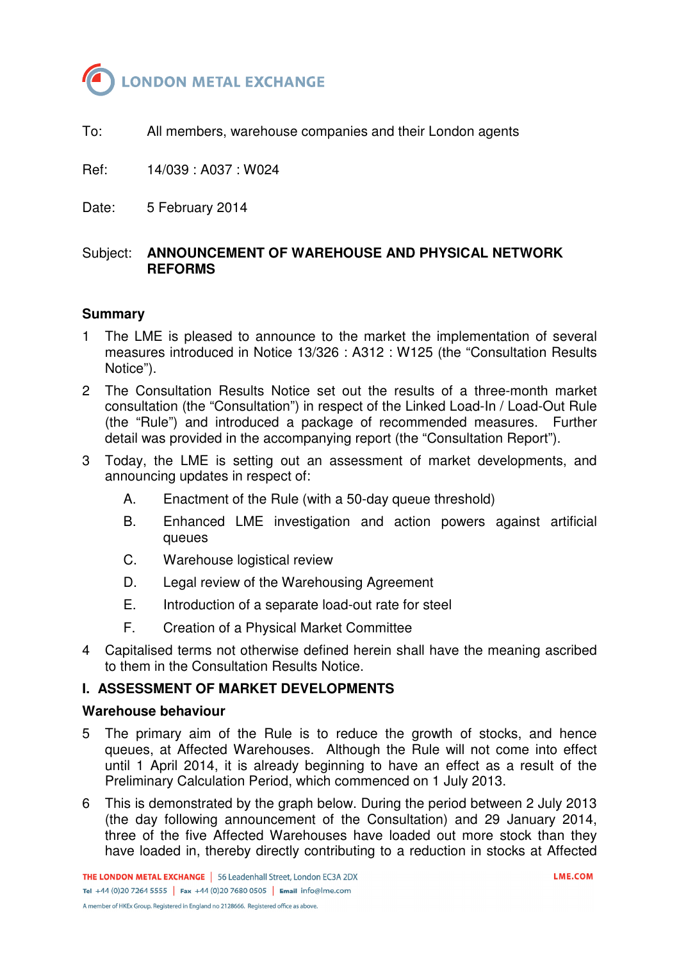

To: All members, warehouse companies and their London agents

Ref: 14/039 : A037 : W024

Date: 5 February 2014

# Subject: **ANNOUNCEMENT OF WAREHOUSE AND PHYSICAL NETWORK REFORMS**

### **Summary**

- 1 The LME is pleased to announce to the market the implementation of several measures introduced in Notice 13/326 : A312 : W125 (the "Consultation Results Notice").
- 2 The Consultation Results Notice set out the results of a three-month market consultation (the "Consultation") in respect of the Linked Load-In / Load-Out Rule (the "Rule") and introduced a package of recommended measures. Further detail was provided in the accompanying report (the "Consultation Report").
- 3 Today, the LME is setting out an assessment of market developments, and announcing updates in respect of:
	- A. Enactment of the Rule (with a 50-day queue threshold)
	- B. Enhanced LME investigation and action powers against artificial queues
	- C. Warehouse logistical review
	- D. Legal review of the Warehousing Agreement
	- E. Introduction of a separate load-out rate for steel
	- F. Creation of a Physical Market Committee
- 4 Capitalised terms not otherwise defined herein shall have the meaning ascribed to them in the Consultation Results Notice.

# **I. ASSESSMENT OF MARKET DEVELOPMENTS**

#### **Warehouse behaviour**

- 5 The primary aim of the Rule is to reduce the growth of stocks, and hence queues, at Affected Warehouses. Although the Rule will not come into effect until 1 April 2014, it is already beginning to have an effect as a result of the Preliminary Calculation Period, which commenced on 1 July 2013.
- 6 This is demonstrated by the graph below. During the period between 2 July 2013 (the day following announcement of the Consultation) and 29 January 2014, three of the five Affected Warehouses have loaded out more stock than they have loaded in, thereby directly contributing to a reduction in stocks at Affected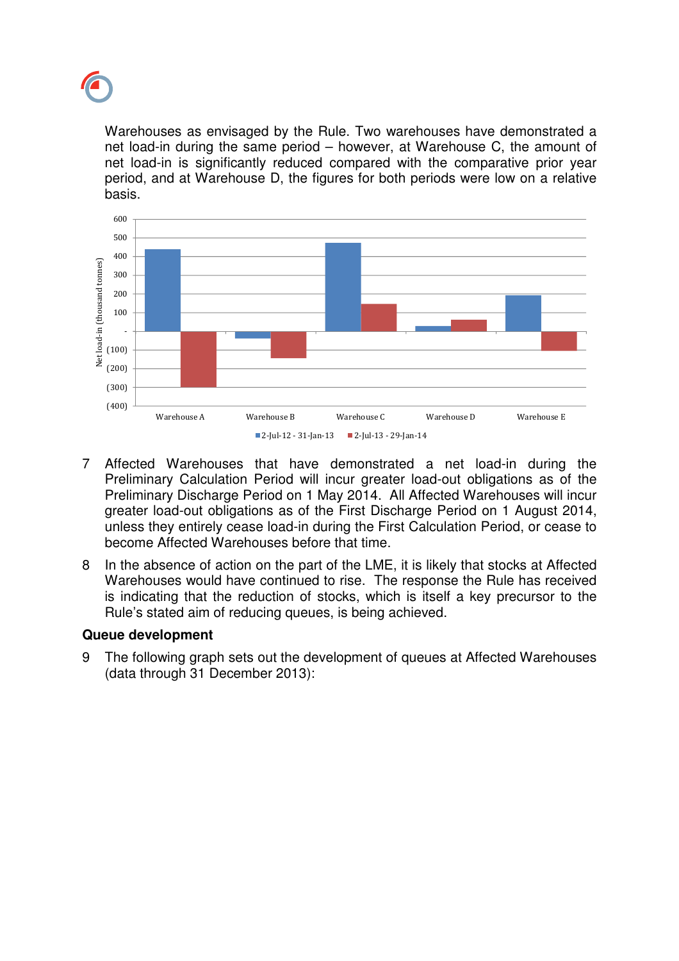

Warehouses as envisaged by the Rule. Two warehouses have demonstrated a net load-in during the same period – however, at Warehouse C, the amount of net load-in is significantly reduced compared with the comparative prior year period, and at Warehouse D, the figures for both periods were low on a relative basis.



- 7 Affected Warehouses that have demonstrated a net load-in during the Preliminary Calculation Period will incur greater load-out obligations as of the Preliminary Discharge Period on 1 May 2014. All Affected Warehouses will incur greater load-out obligations as of the First Discharge Period on 1 August 2014, unless they entirely cease load-in during the First Calculation Period, or cease to become Affected Warehouses before that time.
- 8 In the absence of action on the part of the LME, it is likely that stocks at Affected Warehouses would have continued to rise. The response the Rule has received is indicating that the reduction of stocks, which is itself a key precursor to the Rule's stated aim of reducing queues, is being achieved.

# **Queue development**

9 The following graph sets out the development of queues at Affected Warehouses (data through 31 December 2013):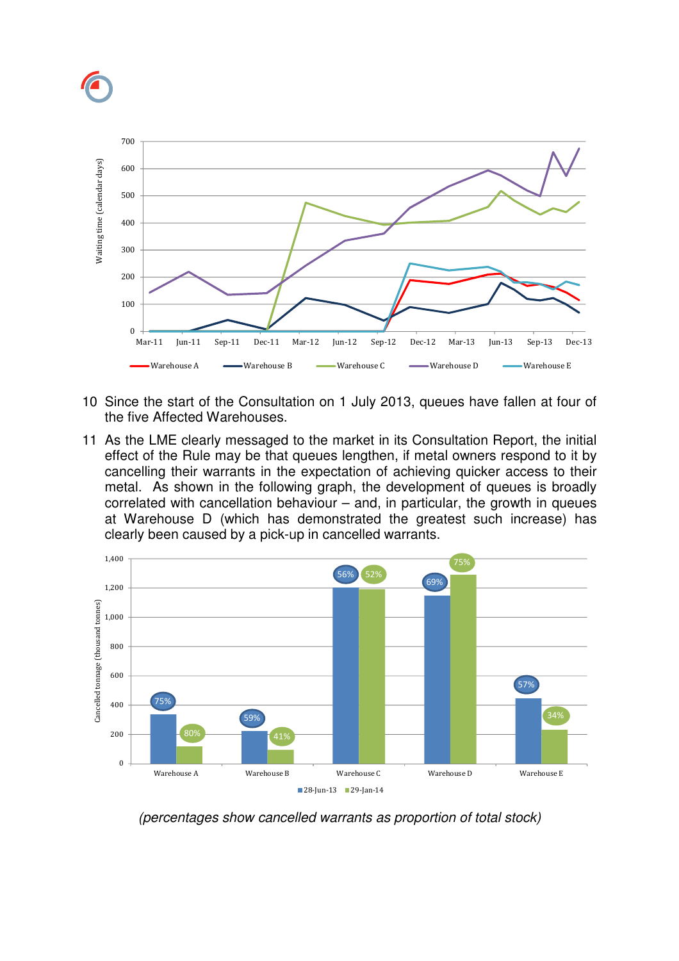

- 10 Since the start of the Consultation on 1 July 2013, queues have fallen at four of the five Affected Warehouses.
- 11 As the LME clearly messaged to the market in its Consultation Report, the initial effect of the Rule may be that queues lengthen, if metal owners respond to it by cancelling their warrants in the expectation of achieving quicker access to their metal. As shown in the following graph, the development of queues is broadly correlated with cancellation behaviour – and, in particular, the growth in queues at Warehouse D (which has demonstrated the greatest such increase) has clearly been caused by a pick-up in cancelled warrants.



(percentages show cancelled warrants as proportion of total stock)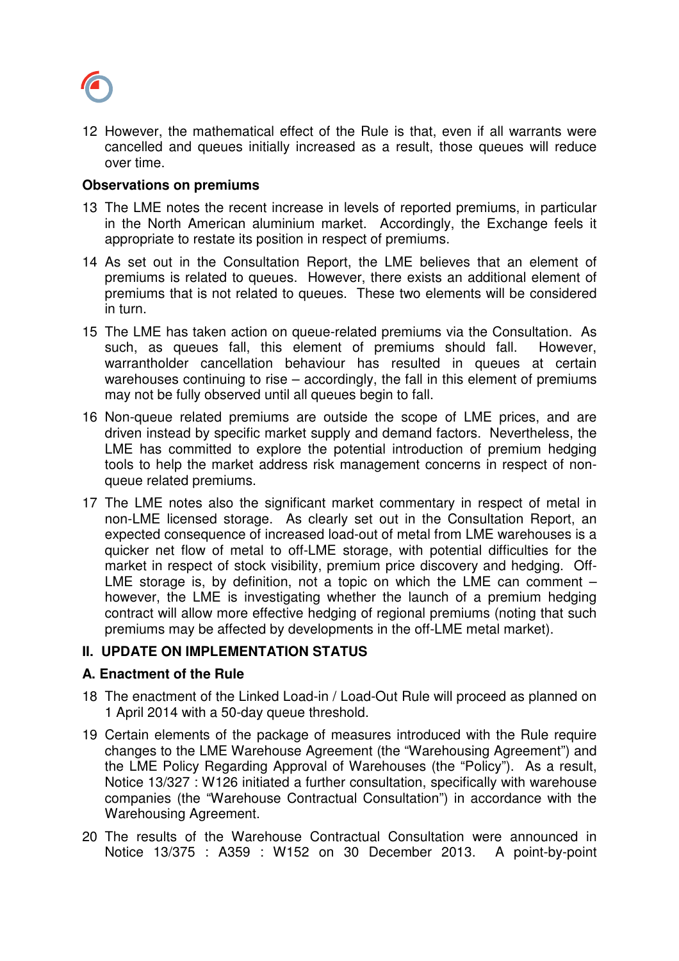

12 However, the mathematical effect of the Rule is that, even if all warrants were cancelled and queues initially increased as a result, those queues will reduce over time.

### **Observations on premiums**

- 13 The LME notes the recent increase in levels of reported premiums, in particular in the North American aluminium market. Accordingly, the Exchange feels it appropriate to restate its position in respect of premiums.
- 14 As set out in the Consultation Report, the LME believes that an element of premiums is related to queues. However, there exists an additional element of premiums that is not related to queues. These two elements will be considered in turn.
- 15 The LME has taken action on queue-related premiums via the Consultation. As such, as queues fall, this element of premiums should fall. However, warrantholder cancellation behaviour has resulted in queues at certain warehouses continuing to rise – accordingly, the fall in this element of premiums may not be fully observed until all queues begin to fall.
- 16 Non-queue related premiums are outside the scope of LME prices, and are driven instead by specific market supply and demand factors. Nevertheless, the LME has committed to explore the potential introduction of premium hedging tools to help the market address risk management concerns in respect of nonqueue related premiums.
- 17 The LME notes also the significant market commentary in respect of metal in non-LME licensed storage. As clearly set out in the Consultation Report, an expected consequence of increased load-out of metal from LME warehouses is a quicker net flow of metal to off-LME storage, with potential difficulties for the market in respect of stock visibility, premium price discovery and hedging. Off-LME storage is, by definition, not a topic on which the LME can comment  $$ however, the LME is investigating whether the launch of a premium hedging contract will allow more effective hedging of regional premiums (noting that such premiums may be affected by developments in the off-LME metal market).

# **II. UPDATE ON IMPLEMENTATION STATUS**

#### **A. Enactment of the Rule**

- 18 The enactment of the Linked Load-in / Load-Out Rule will proceed as planned on 1 April 2014 with a 50-day queue threshold.
- 19 Certain elements of the package of measures introduced with the Rule require changes to the LME Warehouse Agreement (the "Warehousing Agreement") and the LME Policy Regarding Approval of Warehouses (the "Policy"). As a result, Notice 13/327 : W126 initiated a further consultation, specifically with warehouse companies (the "Warehouse Contractual Consultation") in accordance with the Warehousing Agreement.
- 20 The results of the Warehouse Contractual Consultation were announced in Notice 13/375 : A359 : W152 on 30 December 2013. A point-by-point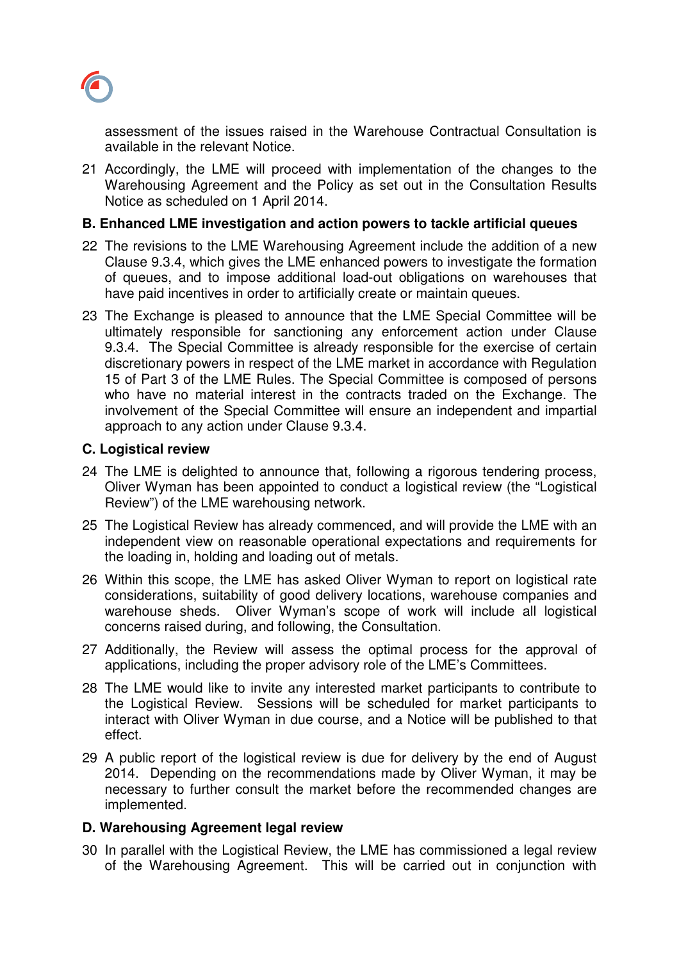

assessment of the issues raised in the Warehouse Contractual Consultation is available in the relevant Notice.

21 Accordingly, the LME will proceed with implementation of the changes to the Warehousing Agreement and the Policy as set out in the Consultation Results Notice as scheduled on 1 April 2014.

### **B. Enhanced LME investigation and action powers to tackle artificial queues**

- 22 The revisions to the LME Warehousing Agreement include the addition of a new Clause 9.3.4, which gives the LME enhanced powers to investigate the formation of queues, and to impose additional load-out obligations on warehouses that have paid incentives in order to artificially create or maintain queues.
- 23 The Exchange is pleased to announce that the LME Special Committee will be ultimately responsible for sanctioning any enforcement action under Clause 9.3.4. The Special Committee is already responsible for the exercise of certain discretionary powers in respect of the LME market in accordance with Regulation 15 of Part 3 of the LME Rules. The Special Committee is composed of persons who have no material interest in the contracts traded on the Exchange. The involvement of the Special Committee will ensure an independent and impartial approach to any action under Clause 9.3.4.

### **C. Logistical review**

- 24 The LME is delighted to announce that, following a rigorous tendering process, Oliver Wyman has been appointed to conduct a logistical review (the "Logistical Review") of the LME warehousing network.
- 25 The Logistical Review has already commenced, and will provide the LME with an independent view on reasonable operational expectations and requirements for the loading in, holding and loading out of metals.
- 26 Within this scope, the LME has asked Oliver Wyman to report on logistical rate considerations, suitability of good delivery locations, warehouse companies and warehouse sheds. Oliver Wyman's scope of work will include all logistical concerns raised during, and following, the Consultation.
- 27 Additionally, the Review will assess the optimal process for the approval of applications, including the proper advisory role of the LME's Committees.
- 28 The LME would like to invite any interested market participants to contribute to the Logistical Review. Sessions will be scheduled for market participants to interact with Oliver Wyman in due course, and a Notice will be published to that effect.
- 29 A public report of the logistical review is due for delivery by the end of August 2014. Depending on the recommendations made by Oliver Wyman, it may be necessary to further consult the market before the recommended changes are implemented.

# **D. Warehousing Agreement legal review**

30 In parallel with the Logistical Review, the LME has commissioned a legal review of the Warehousing Agreement. This will be carried out in conjunction with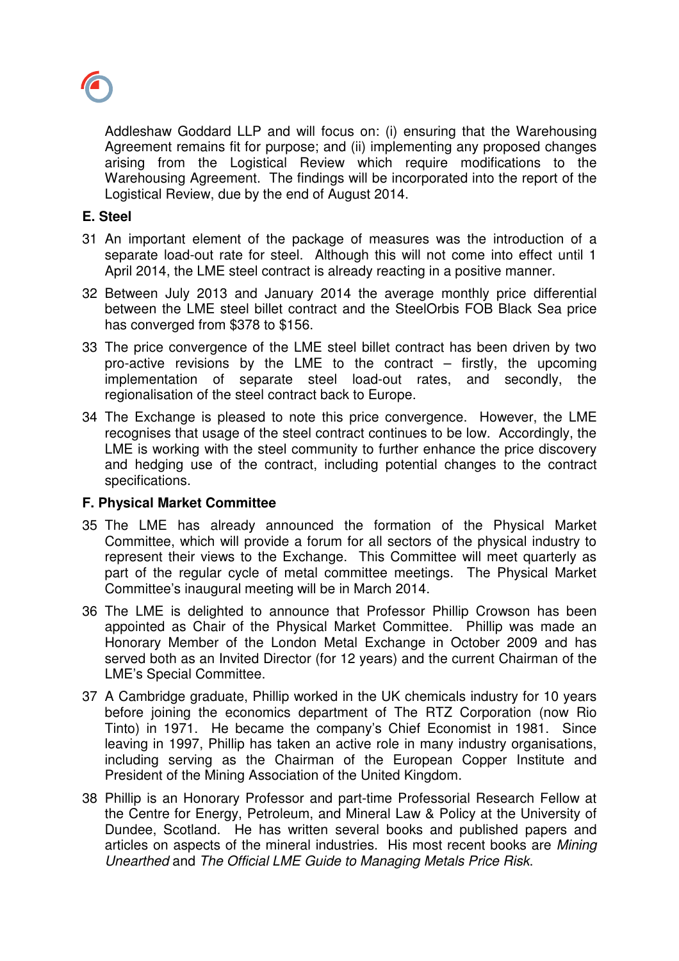

Addleshaw Goddard LLP and will focus on: (i) ensuring that the Warehousing Agreement remains fit for purpose; and (ii) implementing any proposed changes arising from the Logistical Review which require modifications to the Warehousing Agreement. The findings will be incorporated into the report of the Logistical Review, due by the end of August 2014.

### **E. Steel**

- 31 An important element of the package of measures was the introduction of a separate load-out rate for steel. Although this will not come into effect until 1 April 2014, the LME steel contract is already reacting in a positive manner.
- 32 Between July 2013 and January 2014 the average monthly price differential between the LME steel billet contract and the SteelOrbis FOB Black Sea price has converged from \$378 to \$156.
- 33 The price convergence of the LME steel billet contract has been driven by two pro-active revisions by the LME to the contract  $-$  firstly, the upcoming implementation of separate steel load-out rates, and secondly, the regionalisation of the steel contract back to Europe.
- 34 The Exchange is pleased to note this price convergence. However, the LME recognises that usage of the steel contract continues to be low. Accordingly, the LME is working with the steel community to further enhance the price discovery and hedging use of the contract, including potential changes to the contract specifications.

# **F. Physical Market Committee**

- 35 The LME has already announced the formation of the Physical Market Committee, which will provide a forum for all sectors of the physical industry to represent their views to the Exchange. This Committee will meet quarterly as part of the regular cycle of metal committee meetings. The Physical Market Committee's inaugural meeting will be in March 2014.
- 36 The LME is delighted to announce that Professor Phillip Crowson has been appointed as Chair of the Physical Market Committee. Phillip was made an Honorary Member of the London Metal Exchange in October 2009 and has served both as an Invited Director (for 12 years) and the current Chairman of the LME's Special Committee.
- 37 A Cambridge graduate, Phillip worked in the UK chemicals industry for 10 years before joining the economics department of The RTZ Corporation (now Rio Tinto) in 1971. He became the company's Chief Economist in 1981. Since leaving in 1997, Phillip has taken an active role in many industry organisations, including serving as the Chairman of the European Copper Institute and President of the Mining Association of the United Kingdom.
- 38 Phillip is an Honorary Professor and part-time Professorial Research Fellow at the Centre for Energy, Petroleum, and Mineral Law & Policy at the University of Dundee, Scotland. He has written several books and published papers and articles on aspects of the mineral industries. His most recent books are Mining Unearthed and The Official LME Guide to Managing Metals Price Risk.